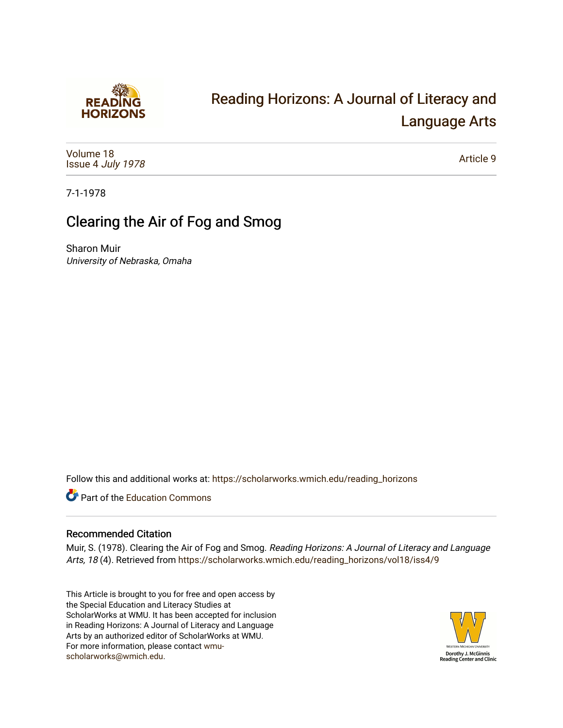

# [Reading Horizons: A Journal of Literacy and](https://scholarworks.wmich.edu/reading_horizons)  [Language Arts](https://scholarworks.wmich.edu/reading_horizons)

[Volume 18](https://scholarworks.wmich.edu/reading_horizons/vol18) Issue 4 [July 1978](https://scholarworks.wmich.edu/reading_horizons/vol18/iss4)

[Article 9](https://scholarworks.wmich.edu/reading_horizons/vol18/iss4/9) 

7-1-1978

## Clearing the Air of Fog and Smog

Sharon Muir University of Nebraska, Omaha

Follow this and additional works at: [https://scholarworks.wmich.edu/reading\\_horizons](https://scholarworks.wmich.edu/reading_horizons?utm_source=scholarworks.wmich.edu%2Freading_horizons%2Fvol18%2Fiss4%2F9&utm_medium=PDF&utm_campaign=PDFCoverPages)

**C** Part of the [Education Commons](http://network.bepress.com/hgg/discipline/784?utm_source=scholarworks.wmich.edu%2Freading_horizons%2Fvol18%2Fiss4%2F9&utm_medium=PDF&utm_campaign=PDFCoverPages)

### Recommended Citation

Muir, S. (1978). Clearing the Air of Fog and Smog. Reading Horizons: A Journal of Literacy and Language Arts, 18 (4). Retrieved from [https://scholarworks.wmich.edu/reading\\_horizons/vol18/iss4/9](https://scholarworks.wmich.edu/reading_horizons/vol18/iss4/9?utm_source=scholarworks.wmich.edu%2Freading_horizons%2Fvol18%2Fiss4%2F9&utm_medium=PDF&utm_campaign=PDFCoverPages) 

This Article is brought to you for free and open access by the Special Education and Literacy Studies at ScholarWorks at WMU. It has been accepted for inclusion in Reading Horizons: A Journal of Literacy and Language Arts by an authorized editor of ScholarWorks at WMU. For more information, please contact [wmu](mailto:wmu-scholarworks@wmich.edu)[scholarworks@wmich.edu.](mailto:wmu-scholarworks@wmich.edu)

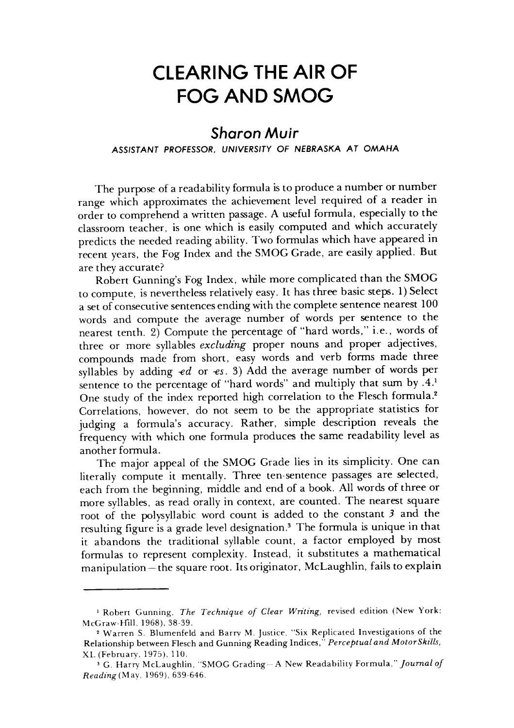### *CLEARING THE AIR OF* **CLEARING THE AIR OF**  *FOG AND SMOG* FOG AND SMOG

### *Sharon Muir Sharon Muir*

#### *ASSISTANT PROFESSOR, UNIVERSITY OF NEBRASKA AT OMAHA* ASSISTANT PROFESSOR, UNIVERSITY OF NEBRASKA AT OMAHA

The purpose of a readability formula is to produce a number or number range which approximates the achievement level required of a reader in range which approximates the achievement level required of a reader in order to comprehend a written passage. A useful formula, especially to the order to comprehend a written passage. A useful formula, especially to the classroom teacher, is one which is easily computed and which accurately classroom teacher, is one which is easily computed and which accurately predicts the needed reading ability. Two formulas which have appeared in predicts the needed reading ability. Two formulas which have appeared in recent years, the Fog Index and the SMOG Grade, are easily applied. But recent years, the Fog Index and the SMOG Grade, are easily applied. But are they accurate? are they accurate?

Robert Gunning's Fog Index, while more complicated than the SMOG Robert Gunning's Fog Index, while more complicated than the SMOG to compute, is nevertheless relatively easy. It has three basic steps. 1) Select a set of consecutive sentences ending with the complete sentence nearest  $100\,$ words and compute the average number of words per sentence to the words and compute the average number of words per sentence to the nearest tenth. 2) Compute the percentage of "hard words," i.e., words of nearest tenth. 2) Compute the percentage of "hard words," i.e., words of three or more syllables **excluding** proper nouns and proper adjectives, three or more syllables *excluding* proper nouns and proper adjectives, compounds made from short, easy words and verb forms made three compounds made from short, easy words and verb forms made three syllables by adding **-ed** or **-es.** 3) Add the average number of words per syllables by adding *-ed* or *-es.* 3) Add the average number of words per sentence to the percentage of "hard words" and multiply that sum by **A.1** sentence to the percentage of "hard words" and multiply that sum by .4. <sup>1</sup> One study of the index reported high correlation to the Flesch formula.<sup>2</sup> Correlations, however, do not seem to be the appropriate statistics for Correlations, however, do not seem to be the appropriate statistics for judging a formula's accuracy. Rather, simple description reveals the judging a formula's accuracy. Rather, simple description reveals the frequency with which one formula produces the same readability level as frequency with which one formula produces the same readability level as another formula. another formula.

The major appeal of the SMOG Grade lies in its simplicity. One can The major appeal of the SMOG Grade lies in its simplicity. One can literally compute it mentally. Three ten-sentence passages are selected, literally compute it mentally. Three ten· sentence passages are selected, each from the beginning, middle and end of a book. Allwords of three or each from the beginning, middle and end of a book. All words of three or more syllables, as read orally in context, are counted. The nearest square more syllables, as read orally in context, are counted. The nearest square root of the polysyllabic word count is added to the constant 3 and the resulting figure is a grade level designation.<sup>3</sup> The formula is unique in that it abandons the traditional syllable count, a factor employed by most it abandons the traditional syllable count, a factor employed by most formulas to represent complexity. Instead, it substitutes a mathematical formulas to represent complexity. Instead, it substitutes a mathematical manipulation - the square root. Its originator, McLaughlin, fails to explain

<sup>1</sup>Robert Gunning, **The Technique of Clear Writing,** revised edition (New York: <sup>I</sup>Robert Gunning, *The Technique of Clear Wn'ting,* revised edition (New York: McGraw-Hill, 1968), 38-39.

<sup>2</sup>Warren S. Blumenfeld and Barry M. Justice, "Six Replicated Investigations of the <sup>2</sup>Warren S, Blumenfeld and Barry M, Justice, "Six Replicated Investigations of the Relationship between Fleschand Gunning Reading Indices," **Perceptual and MotorSkills,** Relationship between Flesch and Gunning Reading Indices," *Perceptual and MotorSkz'lls,* XL (February, 1975), 110. XL (February, 1975), 110,

<sup>3</sup>G. Harry McLaughlin, "SMOG Grading -A New Readability Formula," **Journal of** 3 G, Harry McLaughlin, "SMOG Grading--A New Readability Formula," *Journal of*  **Reading** (May, 1969), 639-646. *Readlng* (May, 1969),639-646,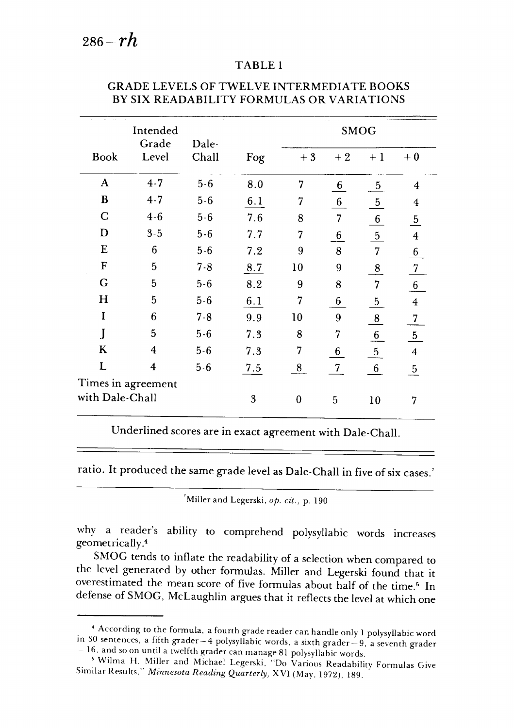#### TABLE <sup>1</sup> TABLE 1

|                 | Intended<br>Grade  | Dale-   |     | <b>SMOG</b> |                 |                 |                         |
|-----------------|--------------------|---------|-----|-------------|-----------------|-----------------|-------------------------|
| Book            | Level              | Chall   | Fog | $+3$        | $+2$            | $+1$            | $+0$                    |
| A               | $4 - 7$            | $5 - 6$ | 8.0 | 7           | 6               | $\overline{5}$  | 4                       |
| B               | $4 - 7$            | $5 - 6$ | 6.1 | 7           | 6               | $\frac{5}{2}$   | 4                       |
| $\mathbf C$     | $4 - 6$            | $5 - 6$ | 7.6 | 8           | $\overline{7}$  | $\frac{6}{ }$   | $\overline{5}$          |
| D               | $3 - 5$            | $5 - 6$ | 7.7 | 7           | 6               | $\overline{5}$  | $\boldsymbol{4}$        |
| E               | 6                  | $5 - 6$ | 7.2 | 9           | 8               | $\overline{7}$  | 6                       |
| $\mathbf F$     | 5                  | $7 - 8$ | 8.7 | 10          | 9               | $\frac{8}{5}$   | $\overline{7}$          |
| G               | 5                  | $5 - 6$ | 8.2 | 9           | 8               | 7               | $\sqrt{6}$              |
| H               | 5                  | $5 - 6$ | 6.1 | 7           | 6               | $\overline{5}$  | $\overline{\mathbf{4}}$ |
| I               | 6                  | $7 - 8$ | 9.9 | 10          | 9               | $\bf{8}$        | $\overline{7}$          |
| J               | 5                  | $5 - 6$ | 7.3 | 8           | 7               | $6 \overline{}$ | $\overline{5}$          |
| K               | 4                  | $5 - 6$ | 7.3 | 7           | $6 \overline{}$ | $\frac{5}{2}$   | 4                       |
| L               | $\overline{4}$     | $5 - 6$ | 7.5 | 8           | $7\phantom{.0}$ | $6\phantom{.}6$ | $\mathbf{5}$            |
|                 | Times in agreement |         |     |             |                 |                 |                         |
| with Dale-Chall |                    |         | 3   | $\bf{0}$    | 5               | 10              | 7                       |

#### GRADE LEVELS OF TWELVE INTERMEDIATE BOOKS GRADE LEVELS OF TWEL VE INTERMEDIATE BOOKS BY SIX READABILITY FORMULAS OR VARIATIONS BY SIX READABILITY FORMULAS OR VARIATIONS

Underlined scoresare in exact agreement with Dale-Chall. Underlined scores are in exact agreement with Dale-Chall.

ratio. It produced the same grade level as Dale-Chall in five of six cases.'

Miller and Legerski, **op. cit.,** p. 190 'Miller and Legerski. *op. cit.,* p. 190

why a reader's ability to comprehend polysyllabic words increases why a reader's ability to comprehend polysyllabic words increases geometrically.4 geometrically.4

SMOG tends to inflate the readability of a selection when compared to the level generated by other formulas. Miller and Legerski found that it the level generated by other formulas. Miller and Legerski found that it overestimated the mean score of five formulas about half of the time.<sup>5</sup> In defense of SMOG, McLaughlin argues that it reflects the level at which one defense of SMOG, McLaughlin argues that it reflects the level at which one

 $^4$  According to the formula, a fourth grade reader can handle only 1 polysyllabic word in 30 sentences, a fifth grader - 4 polysyllabic words, a sixth grader - 9, a seventh grader<br>- 16, and so on until a twelfth grader can manage 81 polysyllabic words. - 16. and so on until a twelfth grader can manage 81 polysyllabic words.

<sup>5</sup>Wilma H. Miller and Michael Legerski, "Do Various Readability Formulas Give 5 Wilma H. Miller and Michael Legerski. "Do Various Readability Formulas Give Similar Results," **Minnesota Reading Quarterly,** XVI (May, 1972), 189. Similar Results." *Minnesota Reading Quarterly,* XVI (May. 1972).189.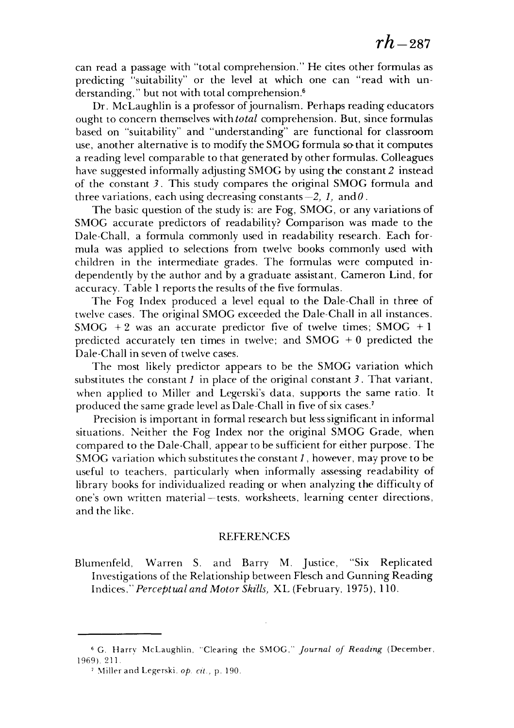can read a passage with "total comprehension." He cites other formulas as predicting "suitability" or the level at which one can "read with un predicting "suitability" or the level at which one can "read with understanding," but not with total comprehension.6 derstanding," but not with total comprehension.6

Dr. McLaughlin is a professor of journalism. Perhaps reading educators Dr. McLaughlin is a professor of journalism. Perhaps reading educators ought to concern themselves **withtotal** comprehension. But, since formulas ought to concern themselves with *total* comprehension. But, since formulas based on "suitability" and "understanding" are functional for classroom based on "suitability" and "understanding" are functional for classroom use, another alternative is to modify the SMOG formula so that it computes use, another alternative is to modify the SMOG formula so that it computes a reading level comparable to that generated by other formulas. Colleagues a reading level comparable to that generated by other formulas. Colleagues have suggested informally adjusting SMOG by using the constant **2** instead have suggested informally adjusting by the constant 2 instead of the constant 3. This study compares the original SMOG formula and three variations, each using decreasing constants $-2$ , 1, and  $\theta$  .

The basic question of the study is: are Fog, SMOG, or any variations of The basic question of the study is: are Fog, SMOG, or any variations of SMOG accurate predictors of readability? Comparison was made to the SMOG accurate predictors of readability? Comparison was made to the Dale-Chall, a formula commonly used in readability research. Each for Dale-Chall, a formula commonly used in readability research. Each formula was applied to selections from twelve books commonly used with mula was applied to selections from twelve books commonly used with children in the intermediate grades. The formulas were computed in children in the intermediate grades. The formulas were computed independently by the author and by a graduate assistant, Cameron Lind, for dependently by the author and by a graduate assistant, Cameron Lind, for accuracy. Table 1 reports the results of the five formulas.

The Fog Index produced a level equal to the Dale-Chall in three of The Fog Index produced a level equal to the Dale-Chall in three of twelve cases. The original SMOG exceeded the Dale-Chall in all instances. twelve cases. The original SMOG exceeded the Dale-Chall in all instances.  $SMOG + 2$  was an accurate predictor five of twelve times;  $SMOG + 1$ predicted accurately ten times in twelve; and  $SMOG + 0$  predicted the Dale-Chall in seven of twelve cases. Dale-Chall in seven of twelve cases.

The most likely predictor appears to be the SMOG variation which The most likely predictor appears to be the SMOG variation which substitutes the constant  $I$  in place of the original constant  $3$ . That variant, when applied to Miller and Legerski's data, supports the same ratio. It when applied to Miller and Legerski's data, supports the same ratio. It produced the same grade level as Dale-Chall in five of six cases.7 produced the same grade level as Dale-Chall in five of six cases. <sup>7</sup>

Precision is important in formal research but lesssignificant in informal Precision is important in formal research but less significant in informal situations. Neither the Fog Index nor the original SMOG Grade, when situations. Neither the Fog Index nor the original SMOG Grade, when compared to the Dale-Chall, appear to be sufficient for either purpose. The compared to the Dale-Chall, appear to be sufficient for either purpose. The SMOG variation which substitutes the constant **1,** however, may prove to be SMOG variation which substitutes the constant 1, however, may prove to be useful to teachers, particularly when informally assessing readability of useful to teachers, particularly when informally assessing readability of library books for individualized reading or when analyzing the difficulty of library books for individualized reading or when analyzing the difficulty of one's own written material —tests, worksheets, learning center directions, one's own written material-tests, worksheets, learning center directions, and the like. and the like.

#### REFERENCES REFERENCES

Blumenfeld, Warren S. and Barry M. Justice, "Six Replicated Blumenfeld, Warren S. and Barry M. Justice, "Six Replicated Investigations of the Relationship between Flesch and Gunning Reading Investigations of the Relationship between Flesch and Gunning Reading Indices," **Perceptual and Motor Skills,** XL (February, 1975), 110. Indices," *Perceptual and Motor Skz'lls)* XL (February, 1975),110.

<sup>&</sup>lt;sup>6</sup> G. Harry McLaughlin, "Clearing the SMOG," *Journal of Reading* (December, 1969), 211. 1969).211.

<sup>&</sup>lt;sup>7</sup> Miller and Legerski, *op. cit.*, p. 190.